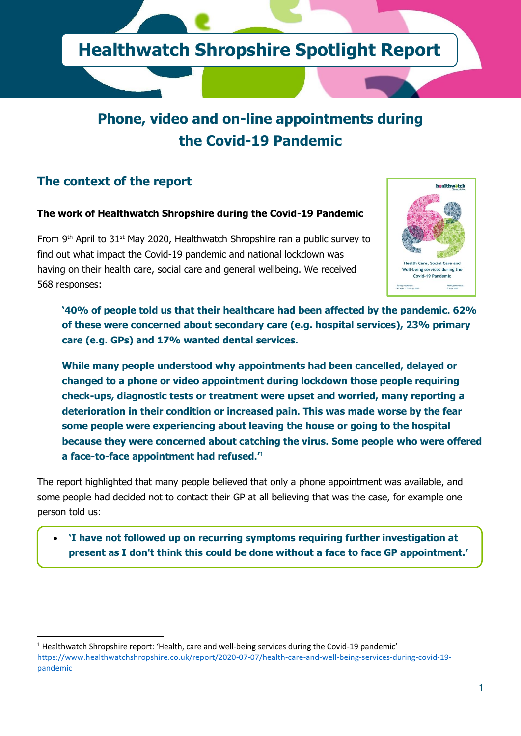

# **Phone, video and on-line appointments during the Covid-19 Pandemic**

## **The context of the report**

#### **The work of Healthwatch Shropshire during the Covid-19 Pandemic**

From 9<sup>th</sup> April to 31<sup>st</sup> May 2020, Healthwatch Shropshire ran a public survey to find out what impact the Covid-19 pandemic and national lockdown was having on their health care, social care and general wellbeing. We received 568 responses:



**'40% of people told us that their healthcare had been affected by the pandemic. 62% of these were concerned about secondary care (e.g. hospital services), 23% primary care (e.g. GPs) and 17% wanted dental services.**

**While many people understood why appointments had been cancelled, delayed or changed to a phone or video appointment during lockdown those people requiring check-ups, diagnostic tests or treatment were upset and worried, many reporting a deterioration in their condition or increased pain. This was made worse by the fear some people were experiencing about leaving the house or going to the hospital because they were concerned about catching the virus. Some people who were offered a face-to-face appointment had refused.'**<sup>1</sup>

The report highlighted that many people believed that only a phone appointment was available, and some people had decided not to contact their GP at all believing that was the case, for example one person told us:

• **'I have not followed up on recurring symptoms requiring further investigation at present as I don't think this could be done without a face to face GP appointment.'**

 $1$  Healthwatch Shropshire report: 'Health, care and well-being services during the Covid-19 pandemic' [https://www.healthwatchshropshire.co.uk/report/2020-07-07/health-care-and-well-being-services-during-covid-19](https://www.healthwatchshropshire.co.uk/report/2020-07-07/health-care-and-well-being-services-during-covid-19-pandemic) [pandemic](https://www.healthwatchshropshire.co.uk/report/2020-07-07/health-care-and-well-being-services-during-covid-19-pandemic)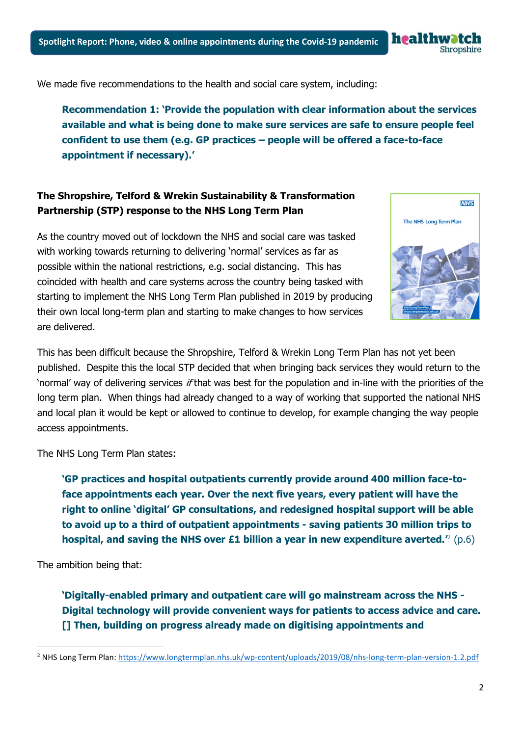We made five recommendations to the health and social care system, including:

**Recommendation 1: 'Provide the population with clear information about the services available and what is being done to make sure services are safe to ensure people feel confident to use them (e.g. GP practices – people will be offered a face-to-face appointment if necessary).'**

#### **The Shropshire, Telford & Wrekin Sustainability & Transformation Partnership (STP) response to the NHS Long Term Plan**

As the country moved out of lockdown the NHS and social care was tasked with working towards returning to delivering 'normal' services as far as possible within the national restrictions, e.g. social distancing. This has coincided with health and care systems across the country being tasked with starting to implement the NHS Long Term Plan published in 2019 by producing their own local long-term plan and starting to make changes to how services are delivered.

This has been difficult because the Shropshire, Telford & Wrekin Long Term Plan has not yet been published. Despite this the local STP decided that when bringing back services they would return to the 'normal' way of delivering services if that was best for the population and in-line with the priorities of the long term plan. When things had already changed to a way of working that supported the national NHS and local plan it would be kept or allowed to continue to develop, for example changing the way people access appointments.

The NHS Long Term Plan states:

**'GP practices and hospital outpatients currently provide around 400 million face-toface appointments each year. Over the next five years, every patient will have the right to online 'digital' GP consultations, and redesigned hospital support will be able to avoid up to a third of outpatient appointments - saving patients 30 million trips to hospital, and saving the NHS over £1 billion a year in new expenditure averted.'** 2 (p.6)

The ambition being that:

**'Digitally-enabled primary and outpatient care will go mainstream across the NHS - Digital technology will provide convenient ways for patients to access advice and care. [] Then, building on progress already made on digitising appointments and** 

<sup>2</sup> NHS Long Term Plan: <https://www.longtermplan.nhs.uk/wp-content/uploads/2019/08/nhs-long-term-plan-version-1.2.pdf>





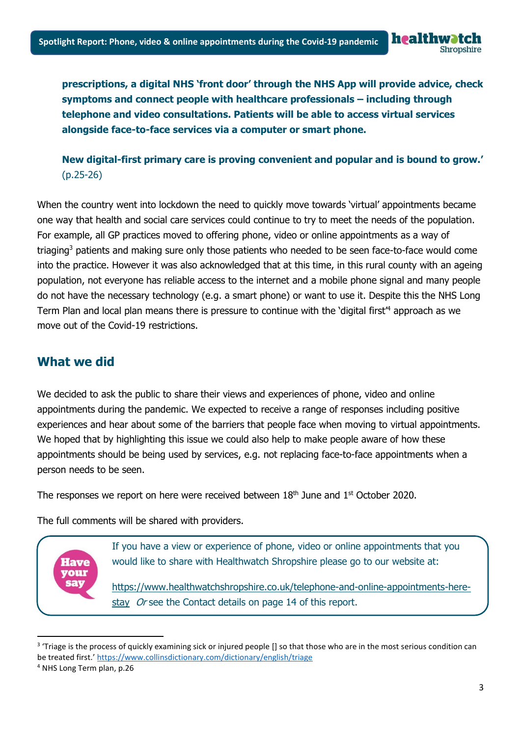healt

**prescriptions, a digital NHS 'front door' through the NHS App will provide advice, check symptoms and connect people with healthcare professionals – including through telephone and video consultations. Patients will be able to access virtual services alongside face-to-face services via a computer or smart phone.** 

**New digital-first primary care is proving convenient and popular and is bound to grow.'**  (p.25-26)

When the country went into lockdown the need to quickly move towards 'virtual' appointments became one way that health and social care services could continue to try to meet the needs of the population. For example, all GP practices moved to offering phone, video or online appointments as a way of triaging<sup>3</sup> patients and making sure only those patients who needed to be seen face-to-face would come into the practice. However it was also acknowledged that at this time, in this rural county with an ageing population, not everyone has reliable access to the internet and a mobile phone signal and many people do not have the necessary technology (e.g. a smart phone) or want to use it. Despite this the NHS Long Term Plan and local plan means there is pressure to continue with the 'digital first<sup>4</sup> approach as we move out of the Covid-19 restrictions.

## **What we did**

We decided to ask the public to share their views and experiences of phone, video and online appointments during the pandemic. We expected to receive a range of responses including positive experiences and hear about some of the barriers that people face when moving to virtual appointments. We hoped that by highlighting this issue we could also help to make people aware of how these appointments should be being used by services, e.g. not replacing face-to-face appointments when a person needs to be seen.

The responses we report on here were received between  $18<sup>th</sup>$  June and  $1<sup>st</sup>$  October 2020.

The full comments will be shared with providers.



If you have a view or experience of phone, video or online appointments that you would like to share with Healthwatch Shropshire please go to our website at:

[https://www.healthwatchshropshire.co.uk/telephone-and-online-appointments-here](https://www.healthwatchshropshire.co.uk/telephone-and-online-appointments-here-stay)[stay](https://www.healthwatchshropshire.co.uk/telephone-and-online-appointments-here-stay) Or see the Contact details on page 14 of this report.

<sup>&</sup>lt;sup>3</sup> 'Triage is the process of quickly examining sick or injured people [] so that those who are in the most serious condition can be treated first.' <https://www.collinsdictionary.com/dictionary/english/triage>

<sup>4</sup> NHS Long Term plan, p.26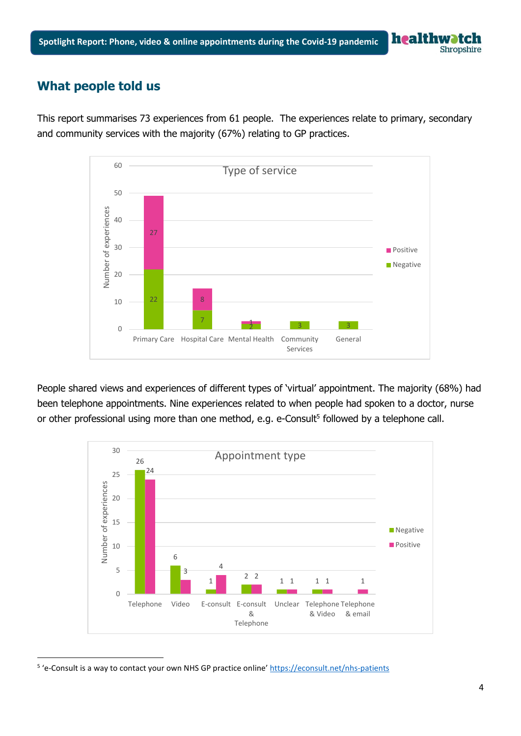## **What people told us**

This report summarises 73 experiences from 61 people. The experiences relate to primary, secondary and community services with the majority (67%) relating to GP practices.



People shared views and experiences of different types of 'virtual' appointment. The majority (68%) had been telephone appointments. Nine experiences related to when people had spoken to a doctor, nurse or other professional using more than one method, e.g. e-Consult<sup>5</sup> followed by a telephone call.



<sup>&</sup>lt;sup>5</sup> 'e-Consult is a way to contact your own NHS GP practice online' <https://econsult.net/nhs-patients>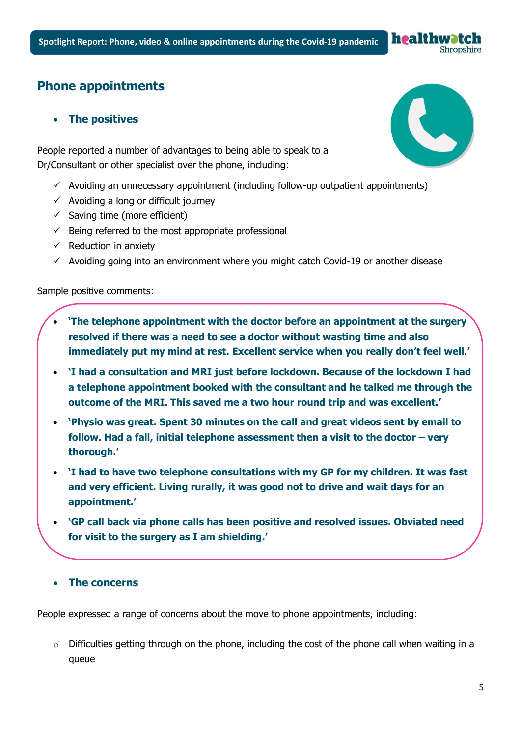## **Phone appointments**

#### • **The positives**

People reported a number of advantages to being able to speak to a Dr/Consultant or other specialist over the phone, including:

- $\checkmark$  Avoiding an unnecessary appointment (including follow-up outpatient appointments)
- $\checkmark$  Avoiding a long or difficult journey
- $\checkmark$  Saving time (more efficient)
- $\checkmark$  Being referred to the most appropriate professional
- $\checkmark$  Reduction in anxiety
- $\checkmark$  Avoiding going into an environment where you might catch Covid-19 or another disease

#### Sample positive comments:

- **'The telephone appointment with the doctor before an appointment at the surgery resolved if there was a need to see a doctor without wasting time and also immediately put my mind at rest. Excellent service when you really don't feel well.'**
- **'I had a consultation and MRI just before lockdown. Because of the lockdown I had a telephone appointment booked with the consultant and he talked me through the outcome of the MRI. This saved me a two hour round trip and was excellent.'**
- **'Physio was great. Spent 30 minutes on the call and great videos sent by email to follow. Had a fall, initial telephone assessment then a visit to the doctor – very thorough.'**
- **'I had to have two telephone consultations with my GP for my children. It was fast and very efficient. Living rurally, it was good not to drive and wait days for an appointment.'**
- **'GP call back via phone calls has been positive and resolved issues. Obviated need for visit to the surgery as I am shielding.'**

#### • **The concerns**

People expressed a range of concerns about the move to phone appointments, including:

o Difficulties getting through on the phone, including the cost of the phone call when waiting in a queue



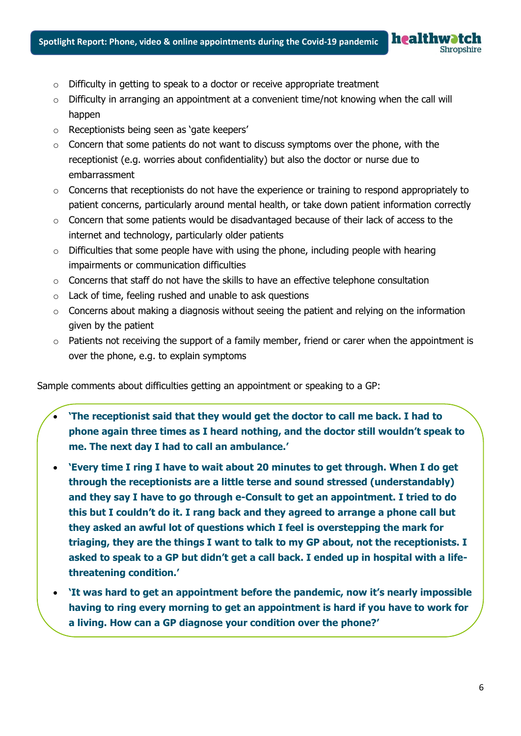- o Difficulty in getting to speak to a doctor or receive appropriate treatment
- $\circ$  Difficulty in arranging an appointment at a convenient time/not knowing when the call will happen
- o Receptionists being seen as 'gate keepers'
- $\circ$  Concern that some patients do not want to discuss symptoms over the phone, with the receptionist (e.g. worries about confidentiality) but also the doctor or nurse due to embarrassment
- o Concerns that receptionists do not have the experience or training to respond appropriately to patient concerns, particularly around mental health, or take down patient information correctly
- o Concern that some patients would be disadvantaged because of their lack of access to the internet and technology, particularly older patients
- $\circ$  Difficulties that some people have with using the phone, including people with hearing impairments or communication difficulties
- o Concerns that staff do not have the skills to have an effective telephone consultation
- o Lack of time, feeling rushed and unable to ask questions
- $\circ$  Concerns about making a diagnosis without seeing the patient and relying on the information given by the patient
- $\circ$  Patients not receiving the support of a family member, friend or carer when the appointment is over the phone, e.g. to explain symptoms

Sample comments about difficulties getting an appointment or speaking to a GP:

- **'The receptionist said that they would get the doctor to call me back. I had to phone again three times as I heard nothing, and the doctor still wouldn't speak to me. The next day I had to call an ambulance.'**
- **'Every time I ring I have to wait about 20 minutes to get through. When I do get through the receptionists are a little terse and sound stressed (understandably) and they say I have to go through e-Consult to get an appointment. I tried to do this but I couldn't do it. I rang back and they agreed to arrange a phone call but they asked an awful lot of questions which I feel is overstepping the mark for triaging, they are the things I want to talk to my GP about, not the receptionists. I asked to speak to a GP but didn't get a call back. I ended up in hospital with a lifethreatening condition.'**
- **'It was hard to get an appointment before the pandemic, now it's nearly impossible having to ring every morning to get an appointment is hard if you have to work for a living. How can a GP diagnose your condition over the phone?'**

**healthwatc**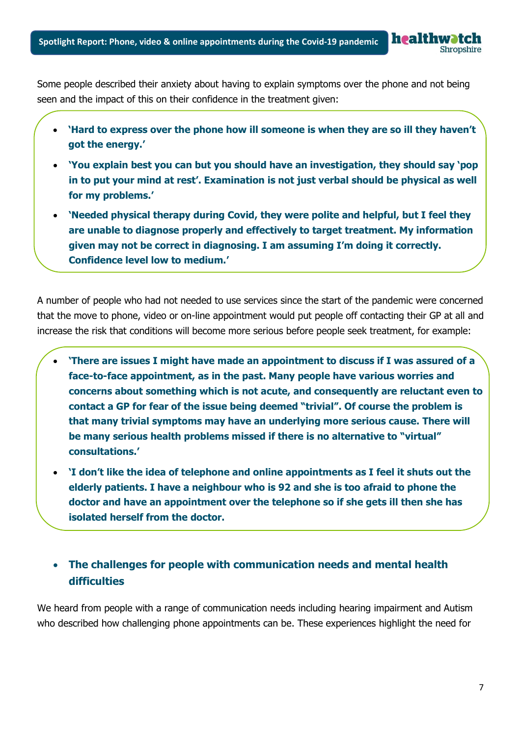Some people described their anxiety about having to explain symptoms over the phone and not being seen and the impact of this on their confidence in the treatment given:

healthwatc

**Shropshire** 

- **'Hard to express over the phone how ill someone is when they are so ill they haven't got the energy.'**
- **'You explain best you can but you should have an investigation, they should say 'pop in to put your mind at rest'. Examination is not just verbal should be physical as well for my problems.'**
- **'Needed physical therapy during Covid, they were polite and helpful, but I feel they are unable to diagnose properly and effectively to target treatment. My information given may not be correct in diagnosing. I am assuming I'm doing it correctly. Confidence level low to medium.'**

A number of people who had not needed to use services since the start of the pandemic were concerned that the move to phone, video or on-line appointment would put people off contacting their GP at all and increase the risk that conditions will become more serious before people seek treatment, for example:

- **'There are issues I might have made an appointment to discuss if I was assured of a face-to-face appointment, as in the past. Many people have various worries and concerns about something which is not acute, and consequently are reluctant even to contact a GP for fear of the issue being deemed "trivial". Of course the problem is that many trivial symptoms may have an underlying more serious cause. There will be many serious health problems missed if there is no alternative to "virtual" consultations.'**
- **'I don't like the idea of telephone and online appointments as I feel it shuts out the elderly patients. I have a neighbour who is 92 and she is too afraid to phone the doctor and have an appointment over the telephone so if she gets ill then she has isolated herself from the doctor.**

## • **The challenges for people with communication needs and mental health difficulties**

We heard from people with a range of communication needs including hearing impairment and Autism who described how challenging phone appointments can be. These experiences highlight the need for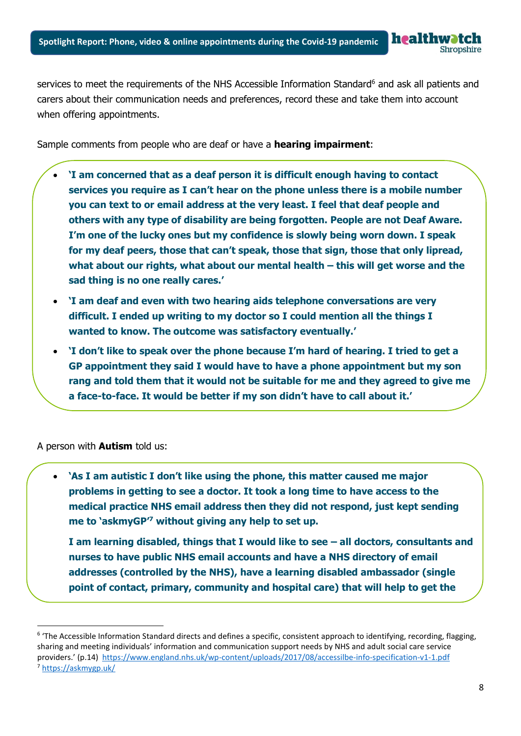healt **Shropshire** 

services to meet the requirements of the NHS Accessible Information Standard<sup>6</sup> and ask all patients and carers about their communication needs and preferences, record these and take them into account when offering appointments.

Sample comments from people who are deaf or have a **hearing impairment**:

- **'I am concerned that as a deaf person it is difficult enough having to contact services you require as I can't hear on the phone unless there is a mobile number you can text to or email address at the very least. I feel that deaf people and others with any type of disability are being forgotten. People are not Deaf Aware. I'm one of the lucky ones but my confidence is slowly being worn down. I speak for my deaf peers, those that can't speak, those that sign, those that only lipread, what about our rights, what about our mental health – this will get worse and the sad thing is no one really cares.'**
- **'I am deaf and even with two hearing aids telephone conversations are very difficult. I ended up writing to my doctor so I could mention all the things I wanted to know. The outcome was satisfactory eventually.'**
- **'I don't like to speak over the phone because I'm hard of hearing. I tried to get a GP appointment they said I would have to have a phone appointment but my son rang and told them that it would not be suitable for me and they agreed to give me a face-to-face. It would be better if my son didn't have to call about it.'**

A person with **Autism** told us:

• **'As I am autistic I don't like using the phone, this matter caused me major problems in getting to see a doctor. It took a long time to have access to the medical practice NHS email address then they did not respond, just kept sending me to 'askmyGP' <sup>7</sup> without giving any help to set up.** 

**I am learning disabled, things that I would like to see – all doctors, consultants and nurses to have public NHS email accounts and have a NHS directory of email addresses (controlled by the NHS), have a learning disabled ambassador (single point of contact, primary, community and hospital care) that will help to get the** 

<sup>&</sup>lt;sup>6</sup> 'The Accessible Information Standard directs and defines a specific, consistent approach to identifying, recording, flagging, sharing and meeting individuals' information and communication support needs by NHS and adult social care service providers.' (p.14) <https://www.england.nhs.uk/wp-content/uploads/2017/08/accessilbe-info-specification-v1-1.pdf> <sup>7</sup> <https://askmygp.uk/>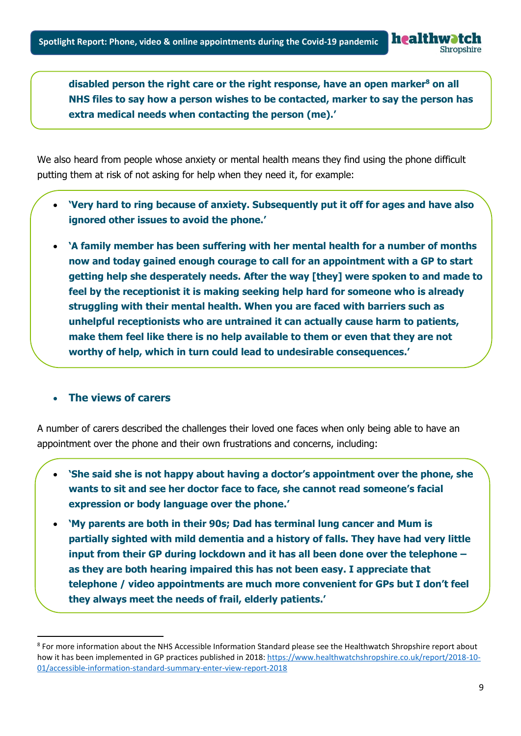**disabled person the right care or the right response, have an open marker<sup>8</sup> on all NHS files to say how a person wishes to be contacted, marker to say the person has extra medical needs when contacting the person (me).'**

We also heard from people whose anxiety or mental health means they find using the phone difficult putting them at risk of not asking for help when they need it, for example:

- **'Very hard to ring because of anxiety. Subsequently put it off for ages and have also ignored other issues to avoid the phone.'**
- **'A family member has been suffering with her mental health for a number of months now and today gained enough courage to call for an appointment with a GP to start getting help she desperately needs. After the way [they] were spoken to and made to feel by the receptionist it is making seeking help hard for someone who is already struggling with their mental health. When you are faced with barriers such as unhelpful receptionists who are untrained it can actually cause harm to patients, make them feel like there is no help available to them or even that they are not worthy of help, which in turn could lead to undesirable consequences.'**

#### • **The views of carers**

A number of carers described the challenges their loved one faces when only being able to have an appointment over the phone and their own frustrations and concerns, including:

- **'She said she is not happy about having a doctor's appointment over the phone, she wants to sit and see her doctor face to face, she cannot read someone's facial expression or body language over the phone.'**
- **'My parents are both in their 90s; Dad has terminal lung cancer and Mum is partially sighted with mild dementia and a history of falls. They have had very little input from their GP during lockdown and it has all been done over the telephone – as they are both hearing impaired this has not been easy. I appreciate that telephone / video appointments are much more convenient for GPs but I don't feel they always meet the needs of frail, elderly patients.'**

<sup>&</sup>lt;sup>8</sup> For more information about the NHS Accessible Information Standard please see the Healthwatch Shropshire report about how it has been implemented in GP practices published in 2018[: https://www.healthwatchshropshire.co.uk/report/2018-10-](https://www.healthwatchshropshire.co.uk/report/2018-10-01/accessible-information-standard-summary-enter-view-report-2018) [01/accessible-information-standard-summary-enter-view-report-2018](https://www.healthwatchshropshire.co.uk/report/2018-10-01/accessible-information-standard-summary-enter-view-report-2018)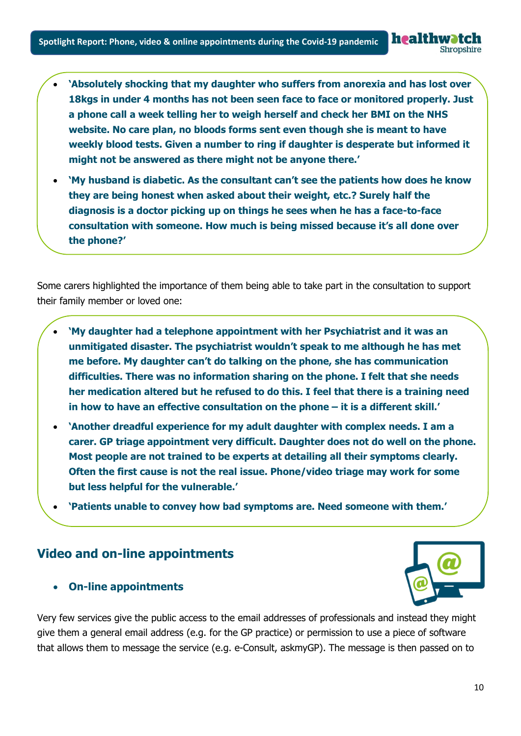• **'Absolutely shocking that my daughter who suffers from anorexia and has lost over 18kgs in under 4 months has not been seen face to face or monitored properly. Just a phone call a week telling her to weigh herself and check her BMI on the NHS website. No care plan, no bloods forms sent even though she is meant to have weekly blood tests. Given a number to ring if daughter is desperate but informed it might not be answered as there might not be anyone there.'**

• **'My husband is diabetic. As the consultant can't see the patients how does he know they are being honest when asked about their weight, etc.? Surely half the diagnosis is a doctor picking up on things he sees when he has a face-to-face consultation with someone. How much is being missed because it's all done over the phone?'**

Some carers highlighted the importance of them being able to take part in the consultation to support their family member or loved one:

- **'My daughter had a telephone appointment with her Psychiatrist and it was an unmitigated disaster. The psychiatrist wouldn't speak to me although he has met me before. My daughter can't do talking on the phone, she has communication difficulties. There was no information sharing on the phone. I felt that she needs her medication altered but he refused to do this. I feel that there is a training need in how to have an effective consultation on the phone – it is a different skill.'**
- **'Another dreadful experience for my adult daughter with complex needs. I am a carer. GP triage appointment very difficult. Daughter does not do well on the phone. Most people are not trained to be experts at detailing all their symptoms clearly. Often the first cause is not the real issue. Phone/video triage may work for some but less helpful for the vulnerable.'**
- **'Patients unable to convey how bad symptoms are. Need someone with them.'**

### **Video and on-line appointments**

• **On-line appointments**



healthwatch

Shropshire

Very few services give the public access to the email addresses of professionals and instead they might give them a general email address (e.g. for the GP practice) or permission to use a piece of software that allows them to message the service (e.g. e-Consult, askmyGP). The message is then passed on to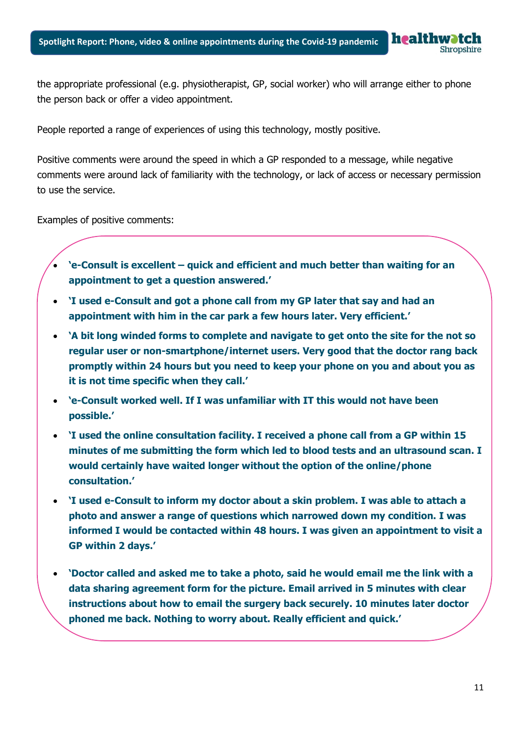the appropriate professional (e.g. physiotherapist, GP, social worker) who will arrange either to phone the person back or offer a video appointment.

People reported a range of experiences of using this technology, mostly positive.

Positive comments were around the speed in which a GP responded to a message, while negative comments were around lack of familiarity with the technology, or lack of access or necessary permission to use the service.

Examples of positive comments:

- **'e-Consult is excellent – quick and efficient and much better than waiting for an appointment to get a question answered.'**
- **'I used e-Consult and got a phone call from my GP later that say and had an appointment with him in the car park a few hours later. Very efficient.'**
- **'A bit long winded forms to complete and navigate to get onto the site for the not so regular user or non-smartphone/internet users. Very good that the doctor rang back promptly within 24 hours but you need to keep your phone on you and about you as it is not time specific when they call.'**
- **'e-Consult worked well. If I was unfamiliar with IT this would not have been possible.'**
- **'I used the online consultation facility. I received a phone call from a GP within 15 minutes of me submitting the form which led to blood tests and an ultrasound scan. I would certainly have waited longer without the option of the online/phone consultation.'**
- **'I used e-Consult to inform my doctor about a skin problem. I was able to attach a photo and answer a range of questions which narrowed down my condition. I was informed I would be contacted within 48 hours. I was given an appointment to visit a GP within 2 days.'**
- **'Doctor called and asked me to take a photo, said he would email me the link with a data sharing agreement form for the picture. Email arrived in 5 minutes with clear instructions about how to email the surgery back securely. 10 minutes later doctor phoned me back. Nothing to worry about. Really efficient and quick.'**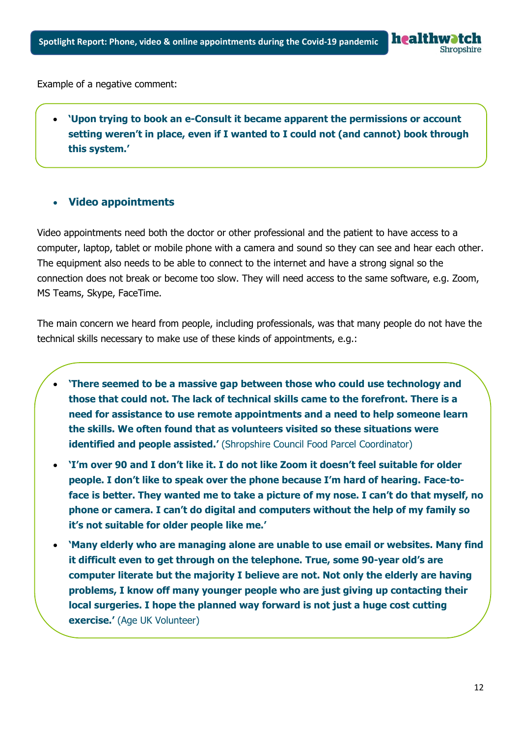

Example of a negative comment:

• **'Upon trying to book an e-Consult it became apparent the permissions or account setting weren't in place, even if I wanted to I could not (and cannot) book through this system.'**

#### • **Video appointments**

Video appointments need both the doctor or other professional and the patient to have access to a computer, laptop, tablet or mobile phone with a camera and sound so they can see and hear each other. The equipment also needs to be able to connect to the internet and have a strong signal so the connection does not break or become too slow. They will need access to the same software, e.g. Zoom, MS Teams, Skype, FaceTime.

The main concern we heard from people, including professionals, was that many people do not have the technical skills necessary to make use of these kinds of appointments, e.g.:

- **'There seemed to be a massive gap between those who could use technology and those that could not. The lack of technical skills came to the forefront. There is a need for assistance to use remote appointments and a need to help someone learn the skills. We often found that as volunteers visited so these situations were identified and people assisted.'** (Shropshire Council Food Parcel Coordinator)
- **'I'm over 90 and I don't like it. I do not like Zoom it doesn't feel suitable for older people. I don't like to speak over the phone because I'm hard of hearing. Face-toface is better. They wanted me to take a picture of my nose. I can't do that myself, no phone or camera. I can't do digital and computers without the help of my family so it's not suitable for older people like me.'**
- **'Many elderly who are managing alone are unable to use email or websites. Many find it difficult even to get through on the telephone. True, some 90-year old's are computer literate but the majority I believe are not. Not only the elderly are having problems, I know off many younger people who are just giving up contacting their local surgeries. I hope the planned way forward is not just a huge cost cutting exercise.'** (Age UK Volunteer)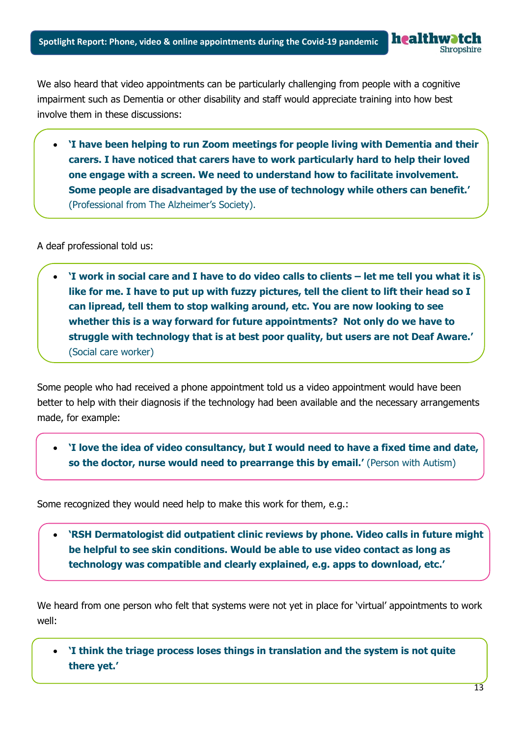We also heard that video appointments can be particularly challenging from people with a cognitive impairment such as Dementia or other disability and staff would appreciate training into how best involve them in these discussions:

• **'I have been helping to run Zoom meetings for people living with Dementia and their carers. I have noticed that carers have to work particularly hard to help their loved one engage with a screen. We need to understand how to facilitate involvement. Some people are disadvantaged by the use of technology while others can benefit.'** (Professional from The Alzheimer's Society).

A deaf professional told us:

• **'I work in social care and I have to do video calls to clients – let me tell you what it is like for me. I have to put up with fuzzy pictures, tell the client to lift their head so I can lipread, tell them to stop walking around, etc. You are now looking to see whether this is a way forward for future appointments? Not only do we have to struggle with technology that is at best poor quality, but users are not Deaf Aware.'** (Social care worker)

Some people who had received a phone appointment told us a video appointment would have been better to help with their diagnosis if the technology had been available and the necessary arrangements made, for example:

• **'I love the idea of video consultancy, but I would need to have a fixed time and date, so the doctor, nurse would need to prearrange this by email.' (Person with Autism)** 

Some recognized they would need help to make this work for them, e.g.:

• **'RSH Dermatologist did outpatient clinic reviews by phone. Video calls in future might be helpful to see skin conditions. Would be able to use video contact as long as technology was compatible and clearly explained, e.g. apps to download, etc.'**

We heard from one person who felt that systems were not yet in place for 'virtual' appointments to work well:

• **'I think the triage process loses things in translation and the system is not quite there yet.'**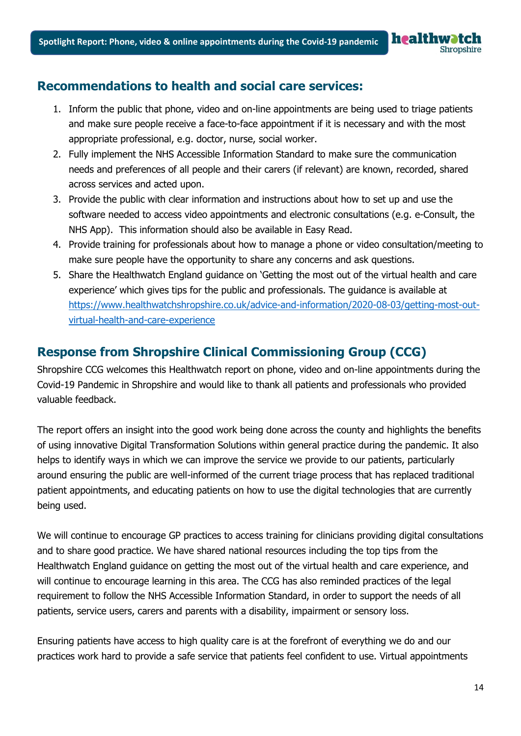## **Recommendations to health and social care services:**

- 1. Inform the public that phone, video and on-line appointments are being used to triage patients and make sure people receive a face-to-face appointment if it is necessary and with the most appropriate professional, e.g. doctor, nurse, social worker.
- 2. Fully implement the NHS Accessible Information Standard to make sure the communication needs and preferences of all people and their carers (if relevant) are known, recorded, shared across services and acted upon.
- 3. Provide the public with clear information and instructions about how to set up and use the software needed to access video appointments and electronic consultations (e.g. e-Consult, the NHS App). This information should also be available in Easy Read.
- 4. Provide training for professionals about how to manage a phone or video consultation/meeting to make sure people have the opportunity to share any concerns and ask questions.
- 5. Share the Healthwatch England guidance on 'Getting the most out of the virtual health and care experience' which gives tips for the public and professionals. The guidance is available at [https://www.healthwatchshropshire.co.uk/advice-and-information/2020-08-03/getting-most-out](https://www.healthwatchshropshire.co.uk/advice-and-information/2020-08-03/getting-most-out-virtual-health-and-care-experience)[virtual-health-and-care-experience](https://www.healthwatchshropshire.co.uk/advice-and-information/2020-08-03/getting-most-out-virtual-health-and-care-experience)

## **Response from Shropshire Clinical Commissioning Group (CCG)**

Shropshire CCG welcomes this Healthwatch report on phone, video and on-line appointments during the Covid-19 Pandemic in Shropshire and would like to thank all patients and professionals who provided valuable feedback.

The report offers an insight into the good work being done across the county and highlights the benefits of using innovative Digital Transformation Solutions within general practice during the pandemic. It also helps to identify ways in which we can improve the service we provide to our patients, particularly around ensuring the public are well-informed of the current triage process that has replaced traditional patient appointments, and educating patients on how to use the digital technologies that are currently being used.

We will continue to encourage GP practices to access training for clinicians providing digital consultations and to share good practice. We have shared national resources including the top tips from the Healthwatch England guidance on getting the most out of the virtual health and care experience, and will continue to encourage learning in this area. The CCG has also reminded practices of the legal requirement to follow the NHS Accessible Information Standard, in order to support the needs of all patients, service users, carers and parents with a disability, impairment or sensory loss.

Ensuring patients have access to high quality care is at the forefront of everything we do and our practices work hard to provide a safe service that patients feel confident to use. Virtual appointments

healthwatc